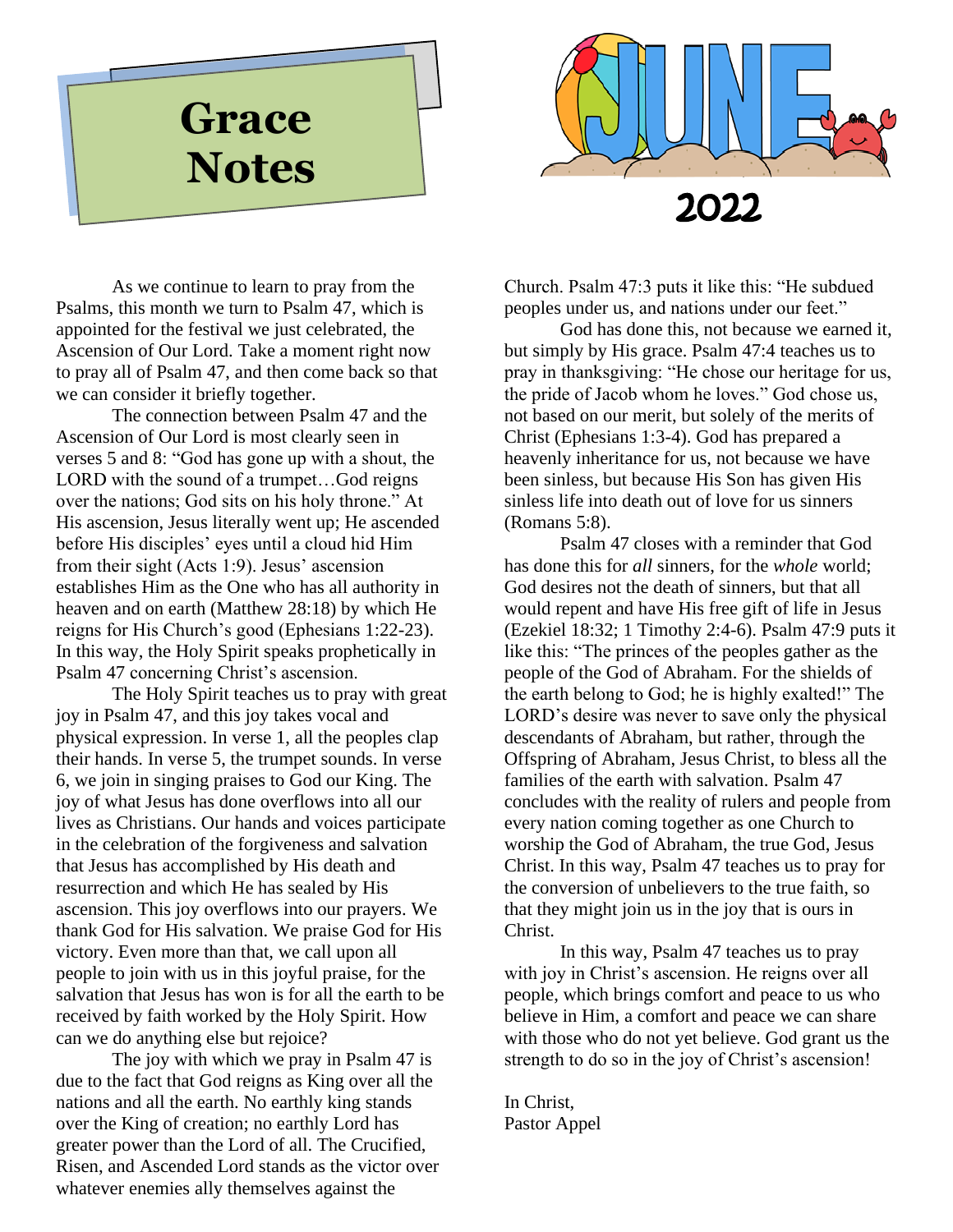



As we continue to learn to pray from the Psalms, this month we turn to Psalm 47, which is appointed for the festival we just celebrated, the Ascension of Our Lord. Take a moment right now to pray all of Psalm 47, and then come back so that we can consider it briefly together.

The connection between Psalm 47 and the Ascension of Our Lord is most clearly seen in verses 5 and 8: "God has gone up with a shout, the LORD with the sound of a trumpet...God reigns over the nations; God sits on his holy throne." At His ascension, Jesus literally went up; He ascended before His disciples' eyes until a cloud hid Him from their sight (Acts 1:9). Jesus' ascension establishes Him as the One who has all authority in heaven and on earth (Matthew 28:18) by which He reigns for His Church's good (Ephesians 1:22-23). In this way, the Holy Spirit speaks prophetically in Psalm 47 concerning Christ's ascension.

The Holy Spirit teaches us to pray with great joy in Psalm 47, and this joy takes vocal and physical expression. In verse 1, all the peoples clap their hands. In verse 5, the trumpet sounds. In verse 6, we join in singing praises to God our King. The joy of what Jesus has done overflows into all our lives as Christians. Our hands and voices participate in the celebration of the forgiveness and salvation that Jesus has accomplished by His death and resurrection and which He has sealed by His ascension. This joy overflows into our prayers. We thank God for His salvation. We praise God for His victory. Even more than that, we call upon all people to join with us in this joyful praise, for the salvation that Jesus has won is for all the earth to be received by faith worked by the Holy Spirit. How can we do anything else but rejoice?

The joy with which we pray in Psalm 47 is due to the fact that God reigns as King over all the nations and all the earth. No earthly king stands over the King of creation; no earthly Lord has greater power than the Lord of all. The Crucified, Risen, and Ascended Lord stands as the victor over whatever enemies ally themselves against the

Church. Psalm 47:3 puts it like this: "He subdued peoples under us, and nations under our feet."

God has done this, not because we earned it, but simply by His grace. Psalm 47:4 teaches us to pray in thanksgiving: "He chose our heritage for us, the pride of Jacob whom he loves." God chose us, not based on our merit, but solely of the merits of Christ (Ephesians 1:3-4). God has prepared a heavenly inheritance for us, not because we have been sinless, but because His Son has given His sinless life into death out of love for us sinners (Romans 5:8).

Psalm 47 closes with a reminder that God has done this for *all* sinners, for the *whole* world; God desires not the death of sinners, but that all would repent and have His free gift of life in Jesus (Ezekiel 18:32; 1 Timothy 2:4-6). Psalm 47:9 puts it like this: "The princes of the peoples gather as the people of the God of Abraham. For the shields of the earth belong to God; he is highly exalted!" The LORD's desire was never to save only the physical descendants of Abraham, but rather, through the Offspring of Abraham, Jesus Christ, to bless all the families of the earth with salvation. Psalm 47 concludes with the reality of rulers and people from every nation coming together as one Church to worship the God of Abraham, the true God, Jesus Christ. In this way, Psalm 47 teaches us to pray for the conversion of unbelievers to the true faith, so that they might join us in the joy that is ours in Christ.

In this way, Psalm 47 teaches us to pray with joy in Christ's ascension. He reigns over all people, which brings comfort and peace to us who believe in Him, a comfort and peace we can share with those who do not yet believe. God grant us the strength to do so in the joy of Christ's ascension!

In Christ, Pastor Appel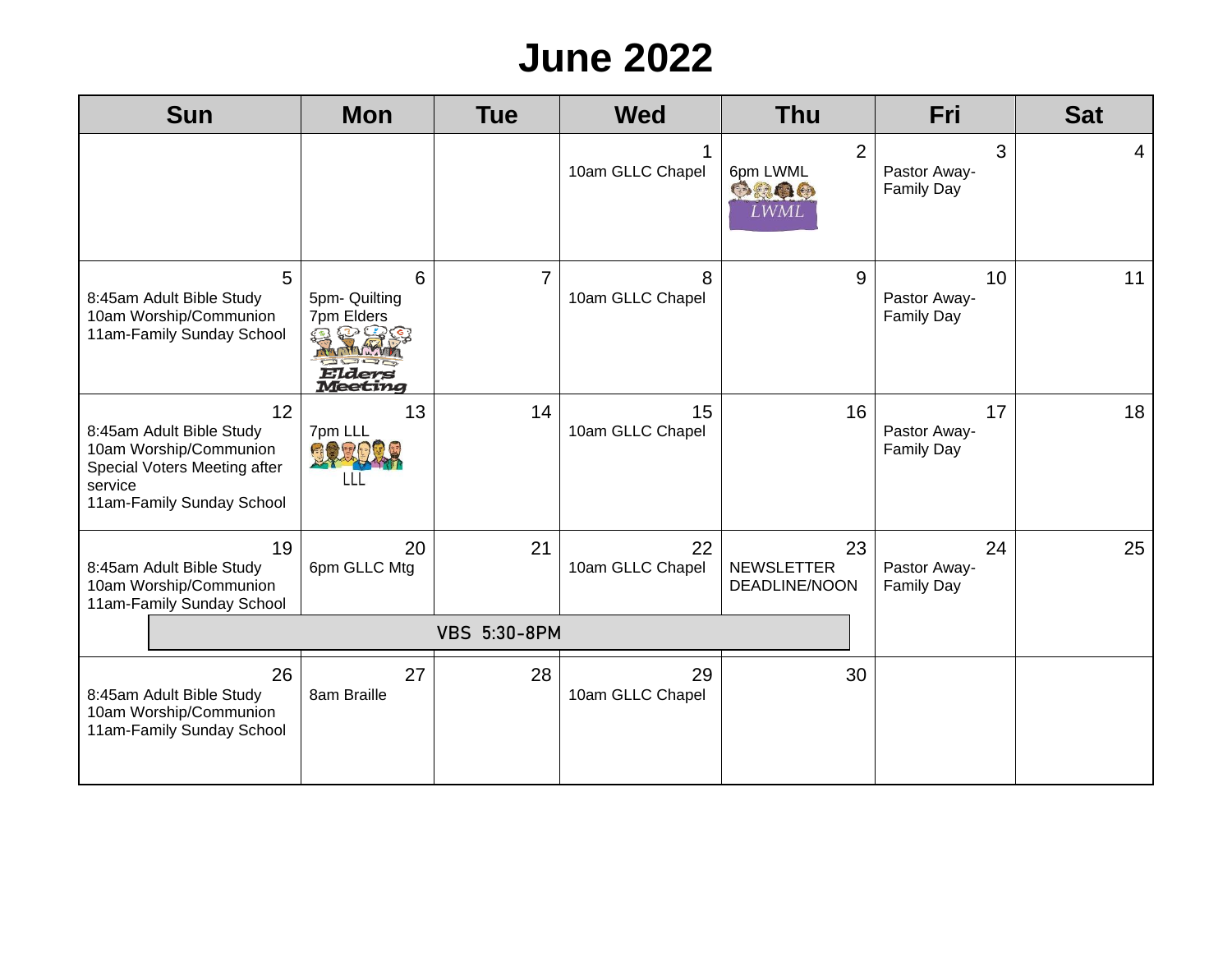# **June 2022**

| <b>Sun</b>                                                                                                                       | <b>Mon</b>                                                    | <b>Tue</b>     | <b>Wed</b>             | Thu                                                       | Fri                                     | <b>Sat</b>     |
|----------------------------------------------------------------------------------------------------------------------------------|---------------------------------------------------------------|----------------|------------------------|-----------------------------------------------------------|-----------------------------------------|----------------|
|                                                                                                                                  |                                                               |                | 10am GLLC Chapel       | $\overline{2}$<br>6pm LWML<br><b>CAR</b> O<br><b>LWML</b> | 3<br>Pastor Away-<br>Family Day         | $\overline{4}$ |
| 5<br>8:45am Adult Bible Study<br>10am Worship/Communion<br>11am-Family Sunday School                                             | 6<br>5pm- Quilting<br>7pm Elders<br>OBBO<br>Elders<br>Meeting | $\overline{7}$ | 8<br>10am GLLC Chapel  | 9                                                         | 10<br>Pastor Away-<br>Family Day        | 11             |
| 12<br>8:45am Adult Bible Study<br>10am Worship/Communion<br>Special Voters Meeting after<br>service<br>11am-Family Sunday School | 13<br>7pm LLL<br>LLL                                          | 14             | 15<br>10am GLLC Chapel | 16                                                        | 17<br>Pastor Away-<br><b>Family Day</b> | 18             |
| 19<br>8:45am Adult Bible Study<br>10am Worship/Communion<br>11am-Family Sunday School                                            | 20<br>6pm GLLC Mtg                                            | 21             | 22<br>10am GLLC Chapel | 23<br><b>NEWSLETTER</b><br><b>DEADLINE/NOON</b>           | 24<br>Pastor Away-<br><b>Family Day</b> | 25             |
| <b>VBS 5:30-8PM</b>                                                                                                              |                                                               |                |                        |                                                           |                                         |                |
| 26<br>8:45am Adult Bible Study<br>10am Worship/Communion<br>11am-Family Sunday School                                            | 27<br>8am Braille                                             | 28             | 29<br>10am GLLC Chapel | 30                                                        |                                         |                |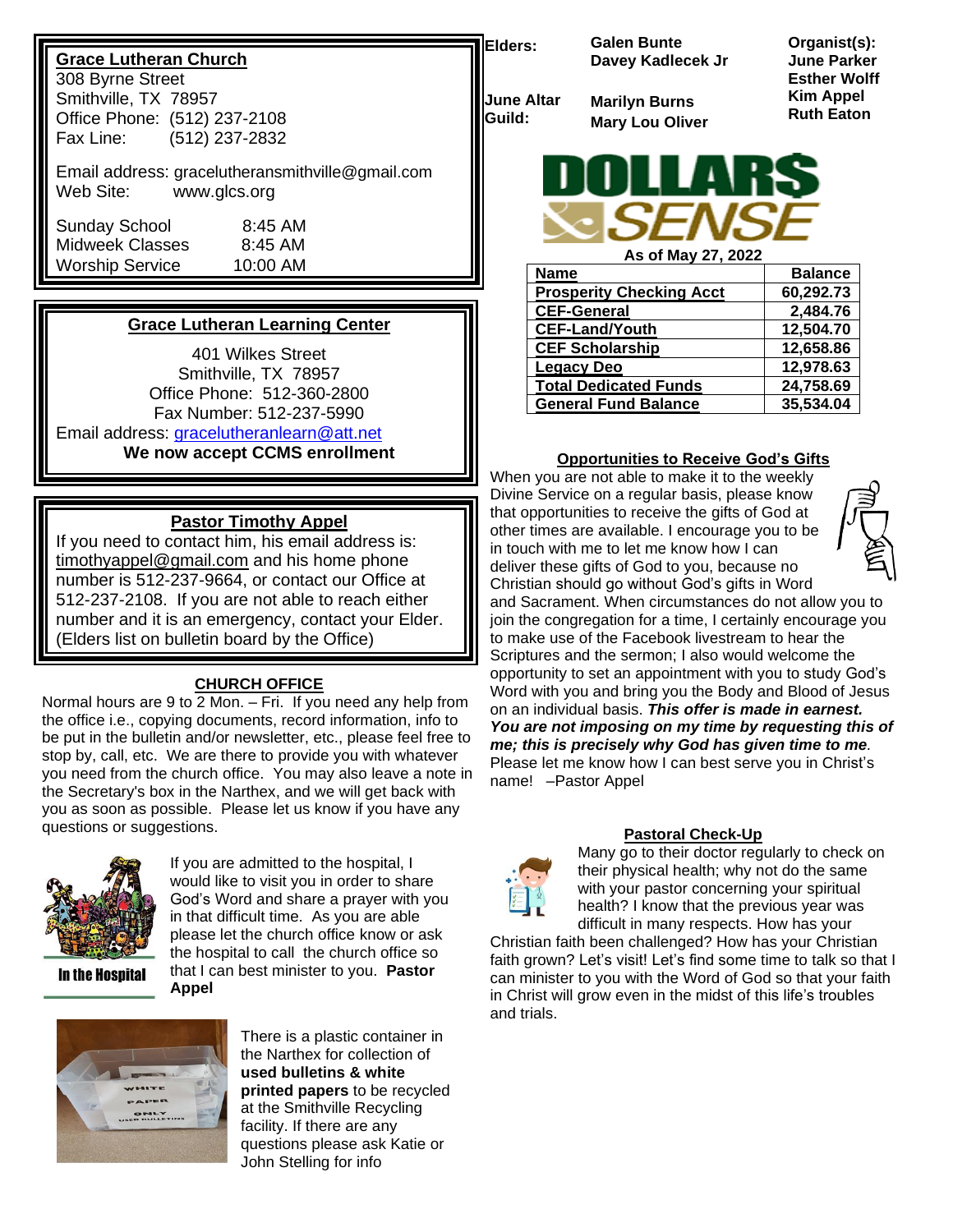### **Grace Lutheran Church**

308 Byrne Street Smithville, TX 78957 Office Phone: (512) 237-2108 Fax Line: (512) 237-2832

Email address: gracelutheransmithville@gmail.com Web Site: www.glcs.org

Sunday School 8:45 AM Midweek Classes 8:45 AM Worship Service 10:00 AM

### **Grace Lutheran Learning Center**

401 Wilkes Street Smithville, TX 78957 Office Phone: 512-360-2800 Fax Number: 512-237-5990 Email address: [gracelutheranlearn@att.net](mailto:gracelutheranlearn@att.net)

**We now accept CCMS enrollment**

### **Pastor Timothy Appel**

If you need to contact him, his email address is: [timothyappel@gmail.com](mailto:timothyappel@gmail.com) and his home phone number is 512-237-9664, or contact our Office at 512-237-2108. If you are not able to reach either number and it is an emergency, contact your Elder. (Elders list on bulletin board by the Office)

### **CHURCH OFFICE**

Normal hours are 9 to 2 Mon. – Fri. If you need any help from the office i.e., copying documents, record information, info to be put in the bulletin and/or newsletter, etc., please feel free to stop by, call, etc. We are there to provide you with whatever you need from the church office. You may also leave a note in the Secretary's box in the Narthex, and we will get back with you as soon as possible. Please let us know if you have any questions or suggestions.



If you are admitted to the hospital, I would like to visit you in order to share God's Word and share a prayer with you in that difficult time. As you are able please let the church office know or ask the hospital to call the church office so that I can best minister to you. **Pastor Appel**

**In the Hospital** 



There is a plastic container in the Narthex for collection of **used bulletins & white printed papers** to be recycled at the Smithville Recycling facility. If there are any questions please ask Katie or John Stelling for info

**Galen Bunte Davey Kadlecek Jr**

**June Altar Guild:**

**Elders:**

**Marilyn Burns Mary Lou Oliver** **Organist(s): June Parker Esther Wolff Kim Appel Ruth Eaton**



| <b>Name</b>                     | <b>Balance</b> |
|---------------------------------|----------------|
| <b>Prosperity Checking Acct</b> | 60,292.73      |
| <b>CEF-General</b>              | 2,484.76       |
| <b>CEF-Land/Youth</b>           | 12,504.70      |
| <b>CEF Scholarship</b>          | 12,658.86      |
| <b>Legacy Deo</b>               | 12,978.63      |
| <b>Total Dedicated Funds</b>    | 24,758.69      |
| <b>General Fund Balance</b>     | 35,534.04      |

### **Opportunities to Receive God's Gifts**

When you are not able to make it to the weekly Divine Service on a regular basis, please know that opportunities to receive the gifts of God at other times are available. I encourage you to be in touch with me to let me know how I can deliver these gifts of God to you, because no Christian should go without God's gifts in Word



and Sacrament. When circumstances do not allow you to join the congregation for a time, I certainly encourage you to make use of the Facebook livestream to hear the Scriptures and the sermon; I also would welcome the opportunity to set an appointment with you to study God's Word with you and bring you the Body and Blood of Jesus on an individual basis. *This offer is made in earnest. You are not imposing on my time by requesting this of me; this is precisely why God has given time to me.* Please let me know how I can best serve you in Christ's name! –Pastor Appel

### **Pastoral Check-Up**



Many go to their doctor regularly to check on their physical health; why not do the same with your pastor concerning your spiritual health? I know that the previous year was difficult in many respects. How has your

Christian faith been challenged? How has your Christian faith grown? Let's visit! Let's find some time to talk so that I can minister to you with the Word of God so that your faith in Christ will grow even in the midst of this life's troubles and trials.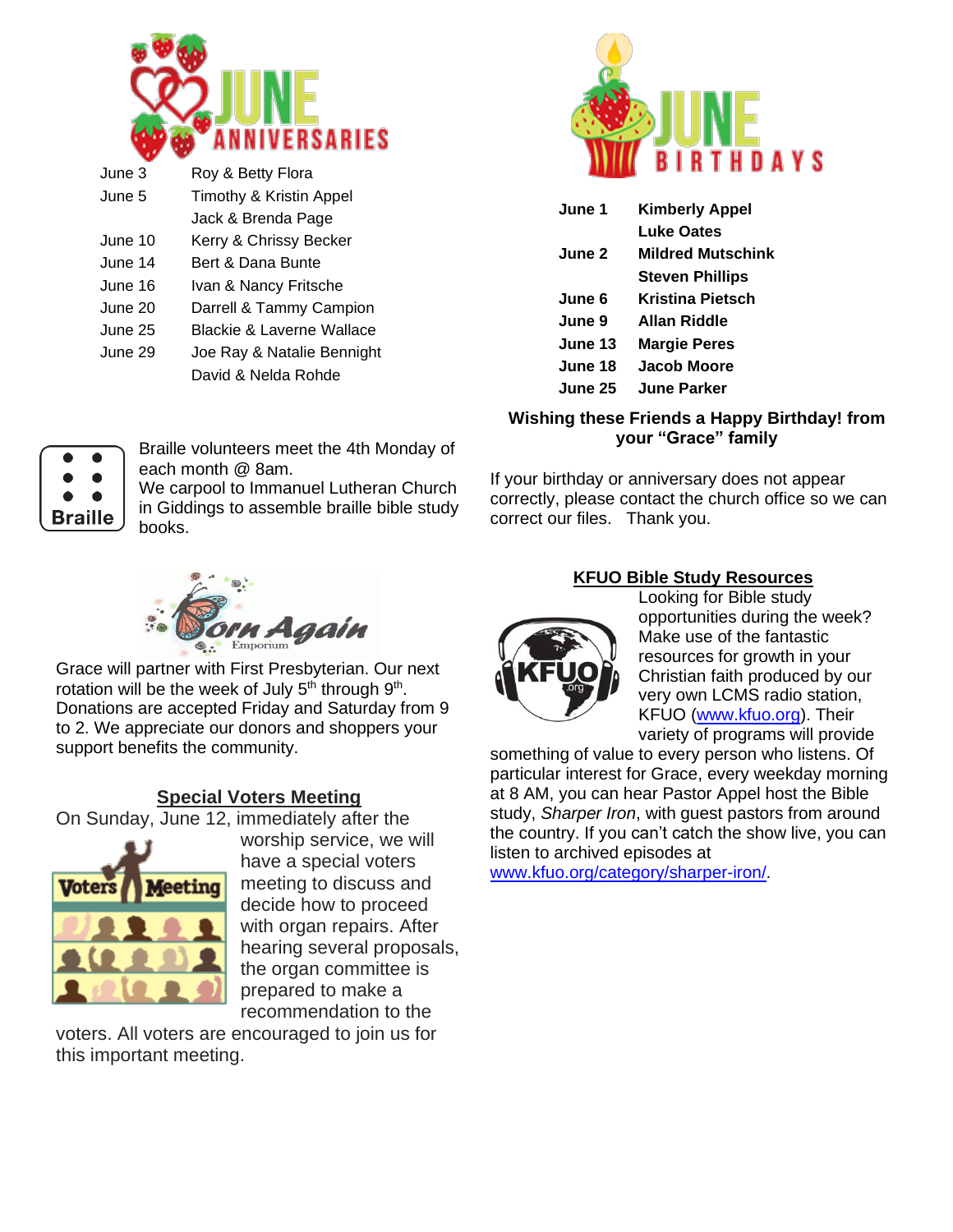

| June 3  | Roy & Betty Flora                    |
|---------|--------------------------------------|
| June 5  | Timothy & Kristin Appel              |
|         | Jack & Brenda Page                   |
| June 10 | Kerry & Chrissy Becker               |
| June 14 | Bert & Dana Bunte                    |
| June 16 | Ivan & Nancy Fritsche                |
| June 20 | Darrell & Tammy Campion              |
| June 25 | <b>Blackie &amp; Laverne Wallace</b> |
| June 29 | Joe Ray & Natalie Bennight           |
|         | David & Nelda Rohde                  |



| June 1  | <b>Kimberly Appel</b>    |
|---------|--------------------------|
|         | Luke Oates               |
| June 2  | <b>Mildred Mutschink</b> |
|         | <b>Steven Phillips</b>   |
| June 6  | Kristina Pietsch         |
| June 9  | Allan Riddle             |
| June 13 | <b>Margie Peres</b>      |
| June 18 | Jacob Moore              |
| June 25 | <b>June Parker</b>       |
|         |                          |

### **Wishing these Friends a Happy Birthday! from your "Grace" family**

If your birthday or anniversary does not appear correctly, please contact the church office so we can correct our files. Thank you.



Braille volunteers meet the 4th Monday of each month @ 8am.

We carpool to Immanuel Lutheran Church in Giddings to assemble braille bible study books.



Grace will partner with First Presbyterian. Our next rotation will be the week of July  $5<sup>th</sup>$  through  $9<sup>th</sup>$ . Donations are accepted Friday and Saturday from 9 to 2. We appreciate our donors and shoppers your support benefits the community.

### **Special Voters Meeting**

On Sunday, June 12, immediately after the



worship service, we will have a special voters meeting to discuss and decide how to proceed with organ repairs. After hearing several proposals, the organ committee is prepared to make a recommendation to the

voters. All voters are encouraged to join us for this important meeting.

### **KFUO Bible Study Resources**



Looking for Bible study opportunities during the week? Make use of the fantastic resources for growth in your Christian faith produced by our very own LCMS radio station, KFUO [\(www.kfuo.org\)](http://www.kfuo.org/). Their variety of programs will provide

something of value to every person who listens. Of particular interest for Grace, every weekday morning at 8 AM, you can hear Pastor Appel host the Bible study, *Sharper Iron*, with guest pastors from around the country. If you can't catch the show live, you can listen to archived episodes at

[www.kfuo.org/category/sharper-iron/.](http://www.kfuo.org/category/sharper-iron/)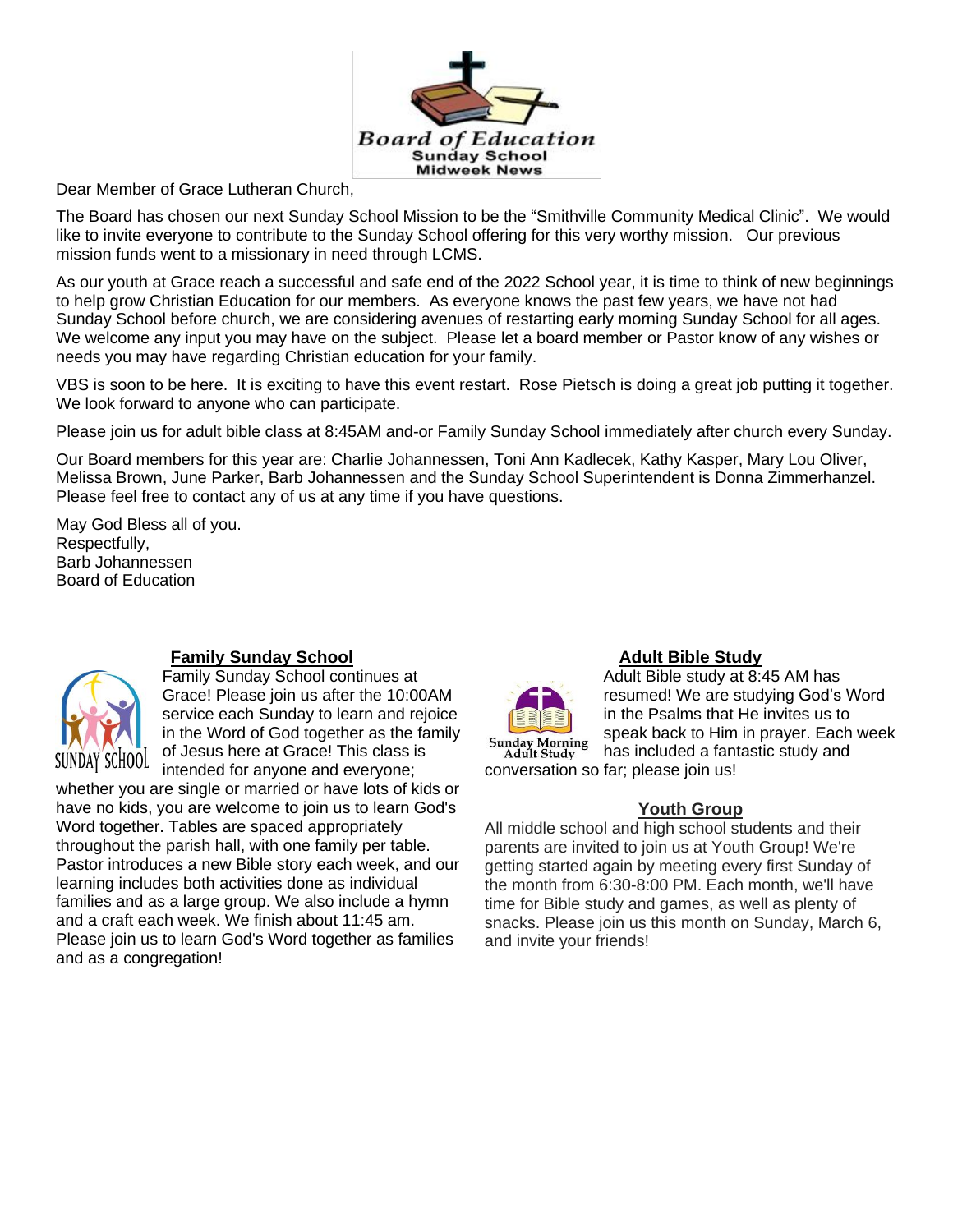

Dear Member of Grace Lutheran Church,

The Board has chosen our next Sunday School Mission to be the "Smithville Community Medical Clinic". We would like to invite everyone to contribute to the Sunday School offering for this very worthy mission. Our previous mission funds went to a missionary in need through LCMS.

As our youth at Grace reach a successful and safe end of the 2022 School year, it is time to think of new beginnings to help grow Christian Education for our members. As everyone knows the past few years, we have not had Sunday School before church, we are considering avenues of restarting early morning Sunday School for all ages. We welcome any input you may have on the subject. Please let a board member or Pastor know of any wishes or needs you may have regarding Christian education for your family.

VBS is soon to be here. It is exciting to have this event restart. Rose Pietsch is doing a great job putting it together. We look forward to anyone who can participate.

Please join us for adult bible class at 8:45AM and-or Family Sunday School immediately after church every Sunday.

Our Board members for this year are: Charlie Johannessen, Toni Ann Kadlecek, Kathy Kasper, Mary Lou Oliver, Melissa Brown, June Parker, Barb Johannessen and the Sunday School Superintendent is Donna Zimmerhanzel. Please feel free to contact any of us at any time if you have questions.

May God Bless all of you. Respectfully, Barb Johannessen Board of Education



### **Family Sunday School**

Family Sunday School continues at Grace! Please join us after the 10:00AM service each Sunday to learn and rejoice in the Word of God together as the family of Jesus here at Grace! This class is intended for anyone and everyone;

whether you are single or married or have lots of kids or have no kids, you are welcome to join us to learn God's Word together. Tables are spaced appropriately throughout the parish hall, with one family per table. Pastor introduces a new Bible story each week, and our learning includes both activities done as individual families and as a large group. We also include a hymn and a craft each week. We finish about 11:45 am. Please join us to learn God's Word together as families and as a congregation!



### **Adult Bible Study**

Adult Bible study at 8:45 AM has resumed! We are studying God's Word in the Psalms that He invites us to speak back to Him in prayer. Each week has included a fantastic study and conversation so far; please join us!

**Youth Group**

All middle school and high school students and their parents are invited to join us at Youth Group! We're getting started again by meeting every first Sunday of the month from 6:30-8:00 PM. Each month, we'll have time for Bible study and games, as well as plenty of snacks. Please join us this month on Sunday, March 6, and invite your friends!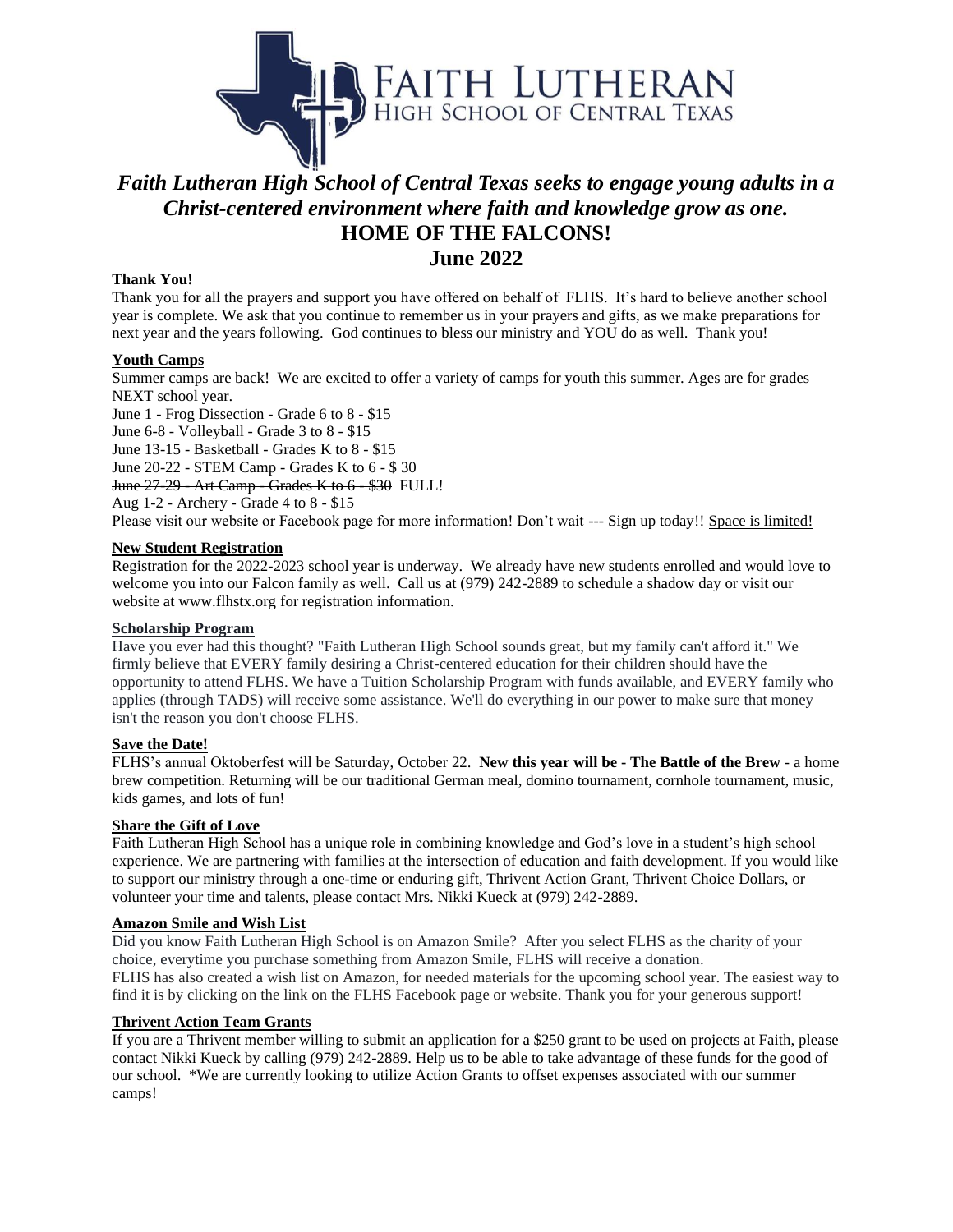

## *Faith Lutheran High School of Central Texas seeks to engage young adults in a Christ-centered environment where faith and knowledge grow as one.*  **HOME OF THE FALCONS! June 2022**

### **Thank You!**

Thank you for all the prayers and support you have offered on behalf of FLHS. It's hard to believe another school year is complete. We ask that you continue to remember us in your prayers and gifts, as we make preparations for next year and the years following. God continues to bless our ministry and YOU do as well. Thank you!

### **Youth Camps**

Summer camps are back! We are excited to offer a variety of camps for youth this summer. Ages are for grades NEXT school year.

June 1 - Frog Dissection - Grade 6 to 8 - \$15 June 6-8 - Volleyball - Grade 3 to 8 - \$15 June 13-15 - Basketball - Grades K to 8 - \$15 June 20-22 - STEM Camp - Grades K to 6 - \$ 30 June 27-29 Art Camp Grades K to 6 \$30 FULL! Aug 1-2 - Archery - Grade 4 to 8 - \$15 Please visit our website or Facebook page for more information! Don't wait --- Sign up today!! Space is limited!

### **New Student Registration**

Registration for the 2022-2023 school year is underway. We already have new students enrolled and would love to welcome you into our Falcon family as well. Call us at (979) 242-2889 to schedule a shadow day or visit our website at [www.flhstx.org](http://www.flhstx.org/) for registration information.

### **Scholarship Program**

Have you ever had this thought? "Faith Lutheran High School sounds great, but my family can't afford it." We firmly believe that EVERY family desiring a Christ-centered education for their children should have the opportunity to attend FLHS. We have a Tuition Scholarship Program with funds available, and EVERY family who applies (through TADS) will receive some assistance. We'll do everything in our power to make sure that money isn't the reason you don't choose FLHS.

### **Save the Date!**

FLHS's annual Oktoberfest will be Saturday, October 22. **New this year will be - The Battle of the Brew** - a home brew competition. Returning will be our traditional German meal, domino tournament, cornhole tournament, music, kids games, and lots of fun!

### **Share the Gift of Love**

Faith Lutheran High School has a unique role in combining knowledge and God's love in a student's high school experience. We are partnering with families at the intersection of education and faith development. If you would like to support our ministry through a one-time or enduring gift, Thrivent Action Grant, Thrivent Choice Dollars, or volunteer your time and talents, please contact Mrs. Nikki Kueck at (979) 242-2889.

### **Amazon Smile and Wish List**

Did you know Faith Lutheran High School is on Amazon Smile? After you select FLHS as the charity of your choice, everytime you purchase something from Amazon Smile, FLHS will receive a donation. FLHS has also created a wish list on Amazon, for needed materials for the upcoming school year. The easiest way to find it is by clicking on the link on the FLHS Facebook page or website. Thank you for your generous support!

### **Thrivent Action Team Grants**

If you are a Thrivent member willing to submit an application for a \$250 grant to be used on projects at Faith, please contact Nikki Kueck by calling (979) 242-2889. Help us to be able to take advantage of these funds for the good of our school. \*We are currently looking to utilize Action Grants to offset expenses associated with our summer camps!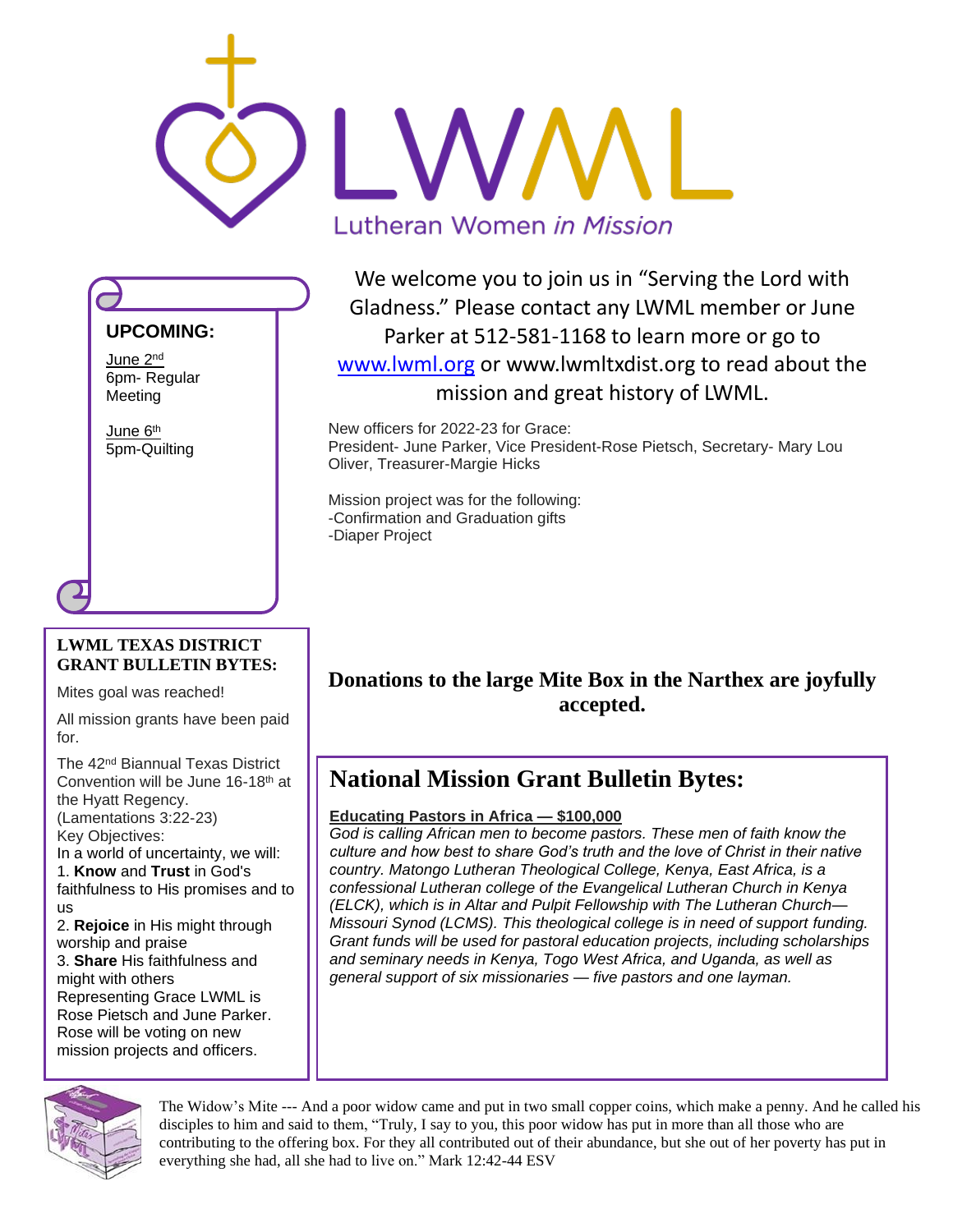# Lutheran Women in Mission

# We welcome you to join us in "Serving the Lord with Gladness." Please contact any LWML member or June Parker at 512-581-1168 to learn more or go to [www.lwml.org](http://www.lwml.org/) or www.lwmltxdist.org to read about the mission and great history of LWML.

New officers for 2022-23 for Grace: President- June Parker, Vice President-Rose Pietsch, Secretary- Mary Lou Oliver, Treasurer-Margie Hicks

Mission project was for the following: -Confirmation and Graduation gifts -Diaper Project

# **Donations to the large Mite Box in the Narthex are joyfully accepted.**

# **National Mission Grant Bulletin Bytes:**

### **Educating Pastors in Africa — \$100,000**

*God is calling African men to become pastors. These men of faith know the culture and how best to share God's truth and the love of Christ in their native country. Matongo Lutheran Theological College, Kenya, East Africa, is a confessional Lutheran college of the Evangelical Lutheran Church in Kenya (ELCK), which is in Altar and Pulpit Fellowship with The Lutheran Church— Missouri Synod (LCMS). This theological college is in need of support funding. Grant funds will be used for pastoral education projects, including scholarships and seminary needs in Kenya, Togo West Africa, and Uganda, as well as general support of six missionaries — five pastors and one layman.*



June 2<sup>nd</sup> 6pm- Regular Meeting

June 6<sup>th</sup> 5pm-Quilting

### **LWML TEXAS DISTRICT GRANT BULLETIN BYTES:**

Mites goal was reached!

All mission grants have been paid for.

The 42nd Biannual Texas District Convention will be June 16-18th at the Hyatt Regency. (Lamentations 3:22-23) Key Objectives:

In a world of uncertainty, we will:

1. **Know** and **Trust** in God's faithfulness to His promises and to us

2. **Rejoice** in His might through worship and praise

3. **Share** His faithfulness and might with others Representing Grace LWML is Rose Pietsch and June Parker. Rose will be voting on new mission projects and officers.



The Widow's Mite --- And a poor widow came and put in two small copper coins, which make a penny. And he called his disciples to him and said to them, "Truly, I say to you, this poor widow has put in more than all those who are contributing to the offering box. For they all contributed out of their abundance, but she out of her poverty has put in everything she had, all she had to live on." Mark 12:42-44 ESV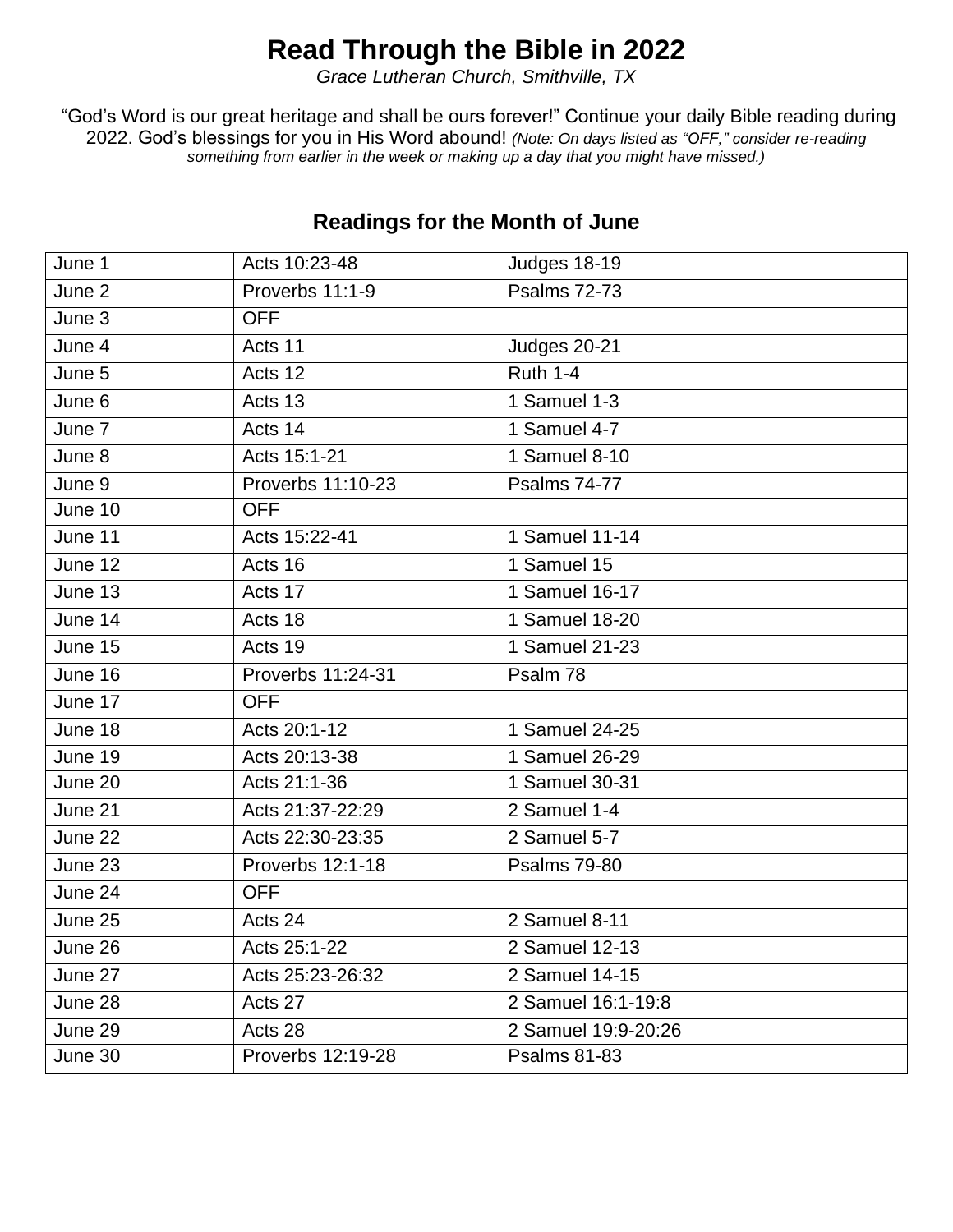# **Read Through the Bible in 2022**

*Grace Lutheran Church, Smithville, TX*

"God's Word is our great heritage and shall be ours forever!" Continue your daily Bible reading during 2022. God's blessings for you in His Word abound! *(Note: On days listed as "OFF," consider re-reading something from earlier in the week or making up a day that you might have missed.)*

| June 1  | Acts 10:23-48     | <b>Judges 18-19</b> |
|---------|-------------------|---------------------|
| June 2  | Proverbs 11:1-9   | <b>Psalms 72-73</b> |
| June 3  | <b>OFF</b>        |                     |
| June 4  | Acts 11           | <b>Judges 20-21</b> |
| June 5  | Acts 12           | <b>Ruth 1-4</b>     |
| June 6  | Acts 13           | 1 Samuel 1-3        |
| June 7  | Acts 14           | 1 Samuel 4-7        |
| June 8  | Acts 15:1-21      | 1 Samuel 8-10       |
| June 9  | Proverbs 11:10-23 | <b>Psalms 74-77</b> |
| June 10 | <b>OFF</b>        |                     |
| June 11 | Acts 15:22-41     | 1 Samuel 11-14      |
| June 12 | Acts 16           | 1 Samuel 15         |
| June 13 | Acts 17           | 1 Samuel 16-17      |
| June 14 | Acts 18           | 1 Samuel 18-20      |
| June 15 | Acts 19           | 1 Samuel 21-23      |
| June 16 | Proverbs 11:24-31 | Psalm 78            |
| June 17 | <b>OFF</b>        |                     |
| June 18 | Acts 20:1-12      | 1 Samuel 24-25      |
| June 19 | Acts 20:13-38     | 1 Samuel 26-29      |
| June 20 | Acts 21:1-36      | 1 Samuel 30-31      |
| June 21 | Acts 21:37-22:29  | 2 Samuel 1-4        |
| June 22 | Acts 22:30-23:35  | 2 Samuel 5-7        |
| June 23 | Proverbs 12:1-18  | <b>Psalms 79-80</b> |
| June 24 | <b>OFF</b>        |                     |
| June 25 | Acts 24           | 2 Samuel 8-11       |
| June 26 | Acts 25:1-22      | 2 Samuel 12-13      |
| June 27 | Acts 25:23-26:32  | 2 Samuel 14-15      |
| June 28 | Acts 27           | 2 Samuel 16:1-19:8  |
| June 29 | Acts 28           | 2 Samuel 19:9-20:26 |
| June 30 | Proverbs 12:19-28 | <b>Psalms 81-83</b> |
|         |                   |                     |

# **Readings for the Month of June**